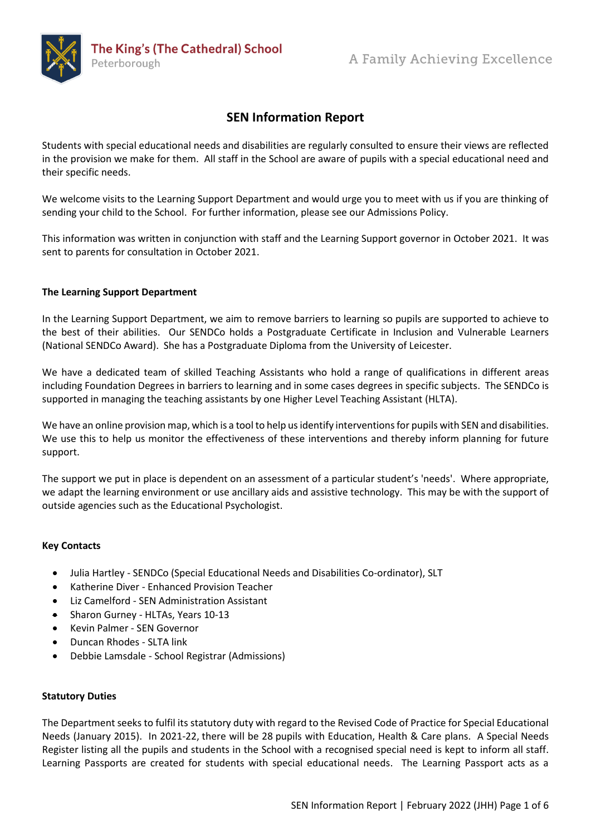

# **SEN Information Report**

Students with special educational needs and disabilities are regularly consulted to ensure their views are reflected in the provision we make for them. All staff in the School are aware of pupils with a special educational need and their specific needs.

We welcome visits to the Learning Support Department and would urge you to meet with us if you are thinking of sending your child to the School. For further information, please see our Admissions Policy.

This information was written in conjunction with staff and the Learning Support governor in October 2021. It was sent to parents for consultation in October 2021.

## **The Learning Support Department**

In the Learning Support Department, we aim to remove barriers to learning so pupils are supported to achieve to the best of their abilities. Our SENDCo holds a Postgraduate Certificate in Inclusion and Vulnerable Learners (National SENDCo Award). She has a Postgraduate Diploma from the University of Leicester.

We have a dedicated team of skilled Teaching Assistants who hold a range of qualifications in different areas including Foundation Degrees in barriers to learning and in some cases degrees in specific subjects. The SENDCo is supported in managing the teaching assistants by one Higher Level Teaching Assistant (HLTA).

We have an online provision map, which is a tool to help us identify interventions for pupils with SEN and disabilities. We use this to help us monitor the effectiveness of these interventions and thereby inform planning for future support.

The support we put in place is dependent on an assessment of a particular student's 'needs'. Where appropriate, we adapt the learning environment or use ancillary aids and assistive technology. This may be with the support of outside agencies such as the Educational Psychologist.

## **Key Contacts**

- [Julia Hartley](mailto:hartley.j@kings.peterborough.sch.uk) SENDCo (Special Educational Needs and Disabilities Co-ordinator), SLT
- Katherine Diver Enhanced Provision Teacher
- Liz Camelford SEN Administration Assistant
- [Sharon Gurney](mailto:gurney.s@kings.peterborough.sch.uk) HLTAs, Years 10-13
- Kevin Palmer SEN Governor
- Duncan Rhodes SLTA link
- [Debbie Lamsdale](mailto:lamsdale.d@kings.peterborough.sch.uk) School Registrar (Admissions)

## **Statutory Duties**

The Department seeks to fulfil its statutory duty with regard to the Revised Code of Practice for Special Educational Needs (January 2015). In 2021-22, there will be 28 pupils with Education, Health & Care plans. A Special Needs Register listing all the pupils and students in the School with a recognised special need is kept to inform all staff. Learning Passports are created for students with special educational needs. The Learning Passport acts as a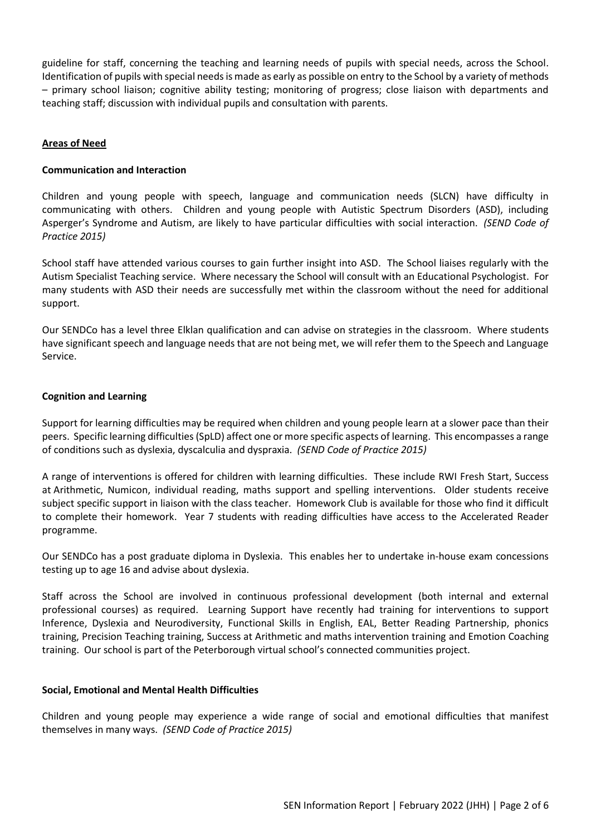guideline for staff, concerning the teaching and learning needs of pupils with special needs, across the School. Identification of pupils with special needs is made as early as possible on entry to the School by a variety of methods – primary school liaison; cognitive ability testing; monitoring of progress; close liaison with departments and teaching staff; discussion with individual pupils and consultation with parents.

## **Areas of Need**

## **Communication and Interaction**

Children and young people with speech, language and communication needs (SLCN) have difficulty in communicating with others. Children and young people with Autistic Spectrum Disorders (ASD), including Asperger's Syndrome and Autism, are likely to have particular difficulties with social interaction. *(SEND Code of Practice 2015)*

School staff have attended various courses to gain further insight into ASD. The School liaises regularly with the Autism Specialist Teaching service. Where necessary the School will consult with an Educational Psychologist. For many students with ASD their needs are successfully met within the classroom without the need for additional support.

Our SENDCo has a level three Elklan qualification and can advise on strategies in the classroom. Where students have significant speech and language needs that are not being met, we will refer them to the Speech and Language Service.

## **Cognition and Learning**

Support for learning difficulties may be required when children and young people learn at a slower pace than their peers. Specific learning difficulties (SpLD) affect one or more specific aspects of learning. This encompasses a range of conditions such as dyslexia, dyscalculia and dyspraxia. *(SEND Code of Practice 2015)*

A range of interventions is offered for children with learning difficulties. These include RWI Fresh Start, Success at Arithmetic, Numicon, individual reading, maths support and spelling interventions. Older students receive subject specific support in liaison with the class teacher. Homework Club is available for those who find it difficult to complete their homework. Year 7 students with reading difficulties have access to the Accelerated Reader programme.

Our SENDCo has a post graduate diploma in Dyslexia. This enables her to undertake in-house exam concessions testing up to age 16 and advise about dyslexia.

Staff across the School are involved in continuous professional development (both internal and external professional courses) as required. Learning Support have recently had training for interventions to support Inference, Dyslexia and Neurodiversity, Functional Skills in English, EAL, Better Reading Partnership, phonics training, Precision Teaching training, Success at Arithmetic and maths intervention training and Emotion Coaching training. Our school is part of the Peterborough virtual school's connected communities project.

## **Social, Emotional and Mental Health Difficulties**

Children and young people may experience a wide range of social and emotional difficulties that manifest themselves in many ways. *(SEND Code of Practice 2015)*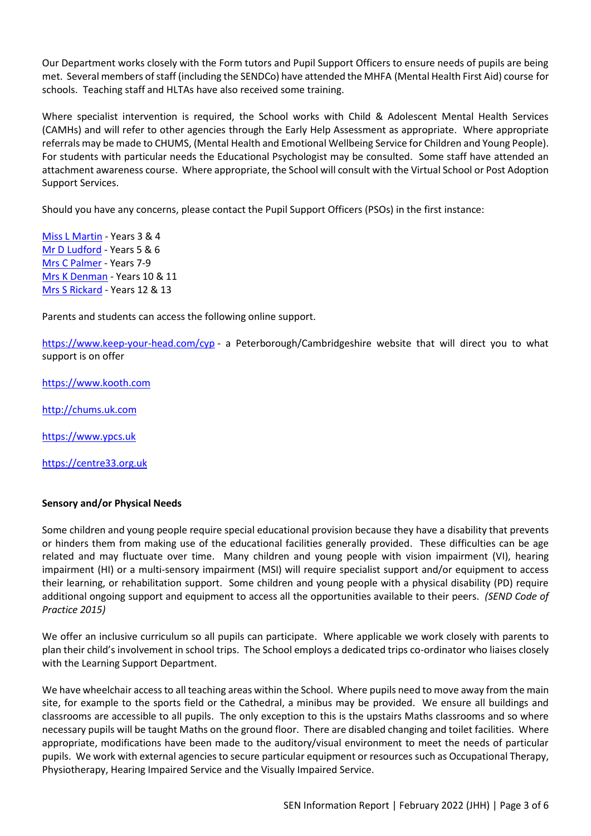Our Department works closely with the Form tutors and Pupil Support Officers to ensure needs of pupils are being met. Several members of staff (including the SENDCo) have attended the MHFA (Mental Health First Aid) course for schools. Teaching staff and HLTAs have also received some training.

Where specialist intervention is required, the School works with Child & Adolescent Mental Health Services (CAMHs) and will refer to other agencies through the Early Help Assessment as appropriate. Where appropriate referrals may be made to CHUMS, (Mental Health and Emotional Wellbeing Service for Children and Young People). For students with particular needs the Educational Psychologist may be consulted. Some staff have attended an attachment awareness course. Where appropriate, the School will consult with the Virtual School or Post Adoption Support Services.

Should you have any concerns, please contact the Pupil Support Officers (PSOs) in the first instance:

[Miss L Martin](mailto:Martin.L@kings.peterborough.sch.uk) - Years 3 & 4 [Mr D Ludford](mailto:Ludford.D@kings.peterborough.sch.uk) - Years 5 & 6 [Mrs C Palmer](mailto:palmer.c@kings.peterborough.sch.uk) - Years 7-9 [Mrs K Denman](mailto:denman.k@kings.peterborough.sch.uk) - Years 10 & 11 [Mrs S Rickard](mailto:rickard.s@kings.peterborough.sch.uk) - Years 12 & 13

Parents and students can access the following online support.

<https://www.keep-your-head.com/cyp> - a Peterborough/Cambridgeshire website that will direct you to what support is on offer

[https://www.kooth.com](https://www.kooth.com/)

[http://chums.uk.com](http://chums.uk.com/)

[https://www.ypcs.uk](https://www.ypcs.uk/)

[https://centre33.org.uk](https://centre33.org.uk/)

## **Sensory and/or Physical Needs**

Some children and young people require special educational provision because they have a disability that prevents or hinders them from making use of the educational facilities generally provided. These difficulties can be age related and may fluctuate over time. Many children and young people with vision impairment (VI), hearing impairment (HI) or a multi-sensory impairment (MSI) will require specialist support and/or equipment to access their learning, or rehabilitation support. Some children and young people with a physical disability (PD) require additional ongoing support and equipment to access all the opportunities available to their peers. *(SEND Code of Practice 2015)*

We offer an inclusive curriculum so all pupils can participate. Where applicable we work closely with parents to plan their child's involvement in school trips. The School employs a dedicated trips co-ordinator who liaises closely with the Learning Support Department.

We have wheelchair access to all teaching areas within the School. Where pupils need to move away from the main site, for example to the sports field or the Cathedral, a minibus may be provided. We ensure all buildings and classrooms are accessible to all pupils. The only exception to this is the upstairs Maths classrooms and so where necessary pupils will be taught Maths on the ground floor. There are disabled changing and toilet facilities. Where appropriate, modifications have been made to the auditory/visual environment to meet the needs of particular pupils. We work with external agencies to secure particular equipment or resources such as Occupational Therapy, Physiotherapy, Hearing Impaired Service and the Visually Impaired Service.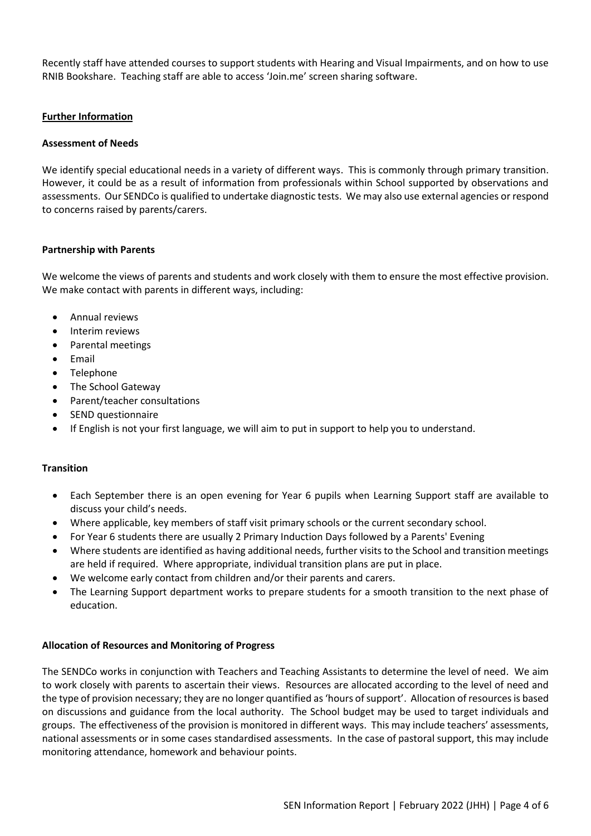Recently staff have attended courses to support students with Hearing and Visual Impairments, and on how to use RNIB Bookshare. Teaching staff are able to access 'Join.me' screen sharing software.

## **Further Information**

## **Assessment of Needs**

We identify special educational needs in a variety of different ways. This is commonly through primary transition. However, it could be as a result of information from professionals within School supported by observations and assessments. Our SENDCo is qualified to undertake diagnostic tests. We may also use external agencies or respond to concerns raised by parents/carers.

#### **Partnership with Parents**

We welcome the views of parents and students and work closely with them to ensure the most effective provision. We make contact with parents in different ways, including:

- Annual reviews
- Interim reviews
- Parental meetings
- Email
- Telephone
- The School Gateway
- Parent/teacher consultations
- SEND questionnaire
- If English is not your first language, we will aim to put in support to help you to understand.

## **Transition**

- Each September there is an open evening for Year 6 pupils when Learning Support staff are available to discuss your child's needs.
- Where applicable, key members of staff visit primary schools or the current secondary school.
- For Year 6 students there are usually 2 Primary Induction Days followed by a Parents' Evening
- Where students are identified as having additional needs, further visits to the School and transition meetings are held if required. Where appropriate, individual transition plans are put in place.
- We welcome early contact from children and/or their parents and carers.
- The Learning Support department works to prepare students for a smooth transition to the next phase of education.

## **Allocation of Resources and Monitoring of Progress**

The SENDCo works in conjunction with Teachers and Teaching Assistants to determine the level of need. We aim to work closely with parents to ascertain their views. Resources are allocated according to the level of need and the type of provision necessary; they are no longer quantified as 'hours of support'. Allocation of resources is based on discussions and guidance from the local authority. The School budget may be used to target individuals and groups. The effectiveness of the provision is monitored in different ways. This may include teachers' assessments, national assessments or in some cases standardised assessments. In the case of pastoral support, this may include monitoring attendance, homework and behaviour points.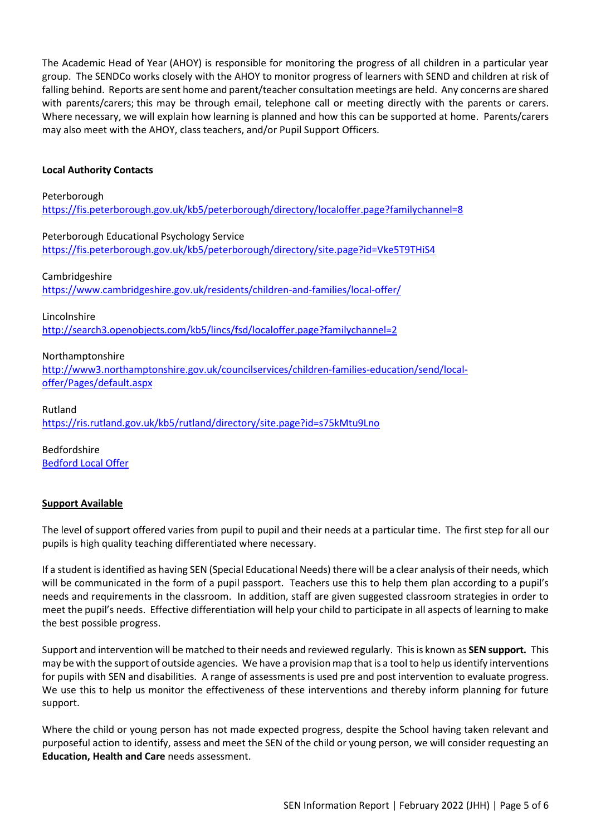The Academic Head of Year (AHOY) is responsible for monitoring the progress of all children in a particular year group. The SENDCo works closely with the AHOY to monitor progress of learners with SEND and children at risk of falling behind. Reports are sent home and parent/teacher consultation meetings are held. Any concerns are shared with parents/carers; this may be through email, telephone call or meeting directly with the parents or carers. Where necessary, we will explain how learning is planned and how this can be supported at home. Parents/carers may also meet with the AHOY, class teachers, and/or Pupil Support Officers.

## **Local Authority Contacts**

#### Peterborough

<https://fis.peterborough.gov.uk/kb5/peterborough/directory/localoffer.page?familychannel=8>

Peterborough Educational Psychology Service

<https://fis.peterborough.gov.uk/kb5/peterborough/directory/site.page?id=Vke5T9THiS4>

## Cambridgeshire

<https://www.cambridgeshire.gov.uk/residents/children-and-families/local-offer/>

Lincolnshire

<http://search3.openobjects.com/kb5/lincs/fsd/localoffer.page?familychannel=2>

## Northamptonshire

[http://www3.northamptonshire.gov.uk/councilservices/children-families-education/send/local](http://www3.northamptonshire.gov.uk/councilservices/children-families-education/send/local-offer/Pages/default.aspx)[offer/Pages/default.aspx](http://www3.northamptonshire.gov.uk/councilservices/children-families-education/send/local-offer/Pages/default.aspx)

Rutland <https://ris.rutland.gov.uk/kb5/rutland/directory/site.page?id=s75kMtu9Lno>

Bedfordshire [Bedford Local Offer](https://localoffer.bedford.gov.uk/kb5/bedford/directory/home.page)

## **Support Available**

The level of support offered varies from pupil to pupil and their needs at a particular time. The first step for all our pupils is high quality teaching differentiated where necessary.

If a student is identified as having SEN (Special Educational Needs) there will be a clear analysis of their needs, which will be communicated in the form of a pupil passport. Teachers use this to help them plan according to a pupil's needs and requirements in the classroom. In addition, staff are given suggested classroom strategies in order to meet the pupil's needs. Effective differentiation will help your child to participate in all aspects of learning to make the best possible progress.

Support and intervention will be matched to their needs and reviewed regularly. This is known as **SEN support.** This may be with the support of outside agencies. We have a provision map that is a tool to help us identify interventions for pupils with SEN and disabilities. A range of assessments is used pre and post intervention to evaluate progress. We use this to help us monitor the effectiveness of these interventions and thereby inform planning for future support.

Where the child or young person has not made expected progress, despite the School having taken relevant and purposeful action to identify, assess and meet the SEN of the child or young person, we will consider requesting an **Education, Health and Care** needs assessment.